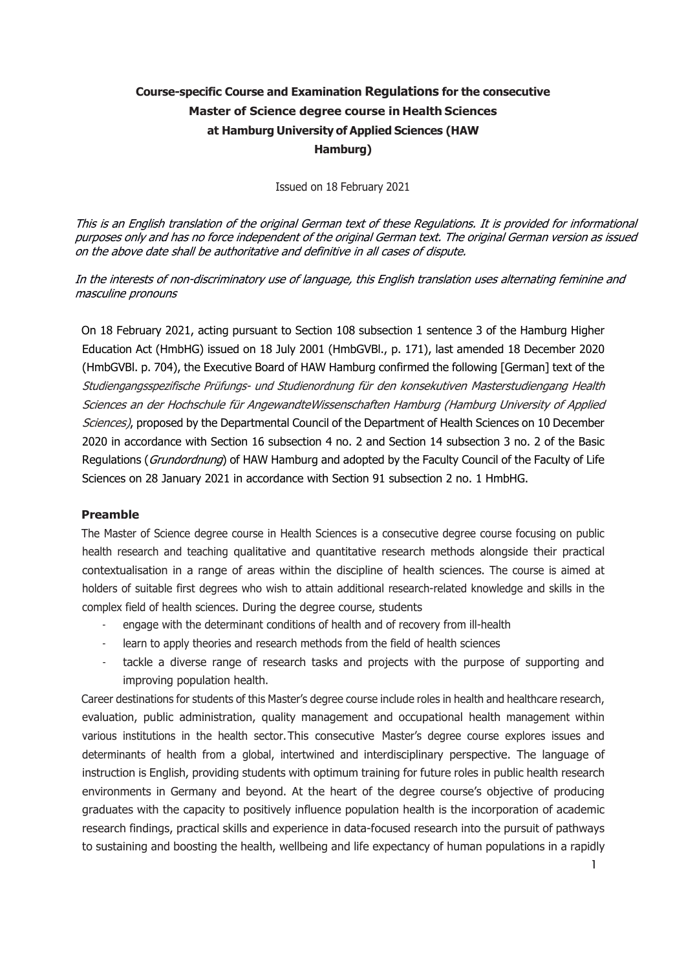# **Course-specific Course and Examination Regulations for the consecutive Master of Science degree course in Health Sciences at Hamburg University of Applied Sciences (HAW Hamburg)**

Issued on 18 February 2021

This is an English translation of the original German text of these Regulations. It is provided for informational purposes only and has no force independent of the original German text. The original German version as issued on the above date shall be authoritative and definitive in all cases of dispute.

In the interests of non-discriminatory use of language, this English translation uses alternating feminine and masculine pronouns

On 18 February 2021, acting pursuant to Section 108 subsection 1 sentence 3 of the Hamburg Higher Education Act (HmbHG) issued on 18 July 2001 (HmbGVBl., p. 171), last amended 18 December 2020 (HmbGVBl. p. 704), the Executive Board of HAW Hamburg confirmed the following [German] text of the Studiengangsspezifische Prüfungs- und Studienordnung für den konsekutiven Masterstudiengang Health Sciences an der Hochschule für Angewandte Wissenschaften Hamburg (Hamburg University of Applied Sciences), proposed by the Departmental Council of the Department of Health Sciences on 10 December 2020 in accordance with Section 16 subsection 4 no. 2 and Section 14 subsection 3 no. 2 of the Basic Regulations (Grundordnung) of HAW Hamburg and adopted by the Faculty Council of the Faculty of Life Sciences on 28 January 2021 in accordance with Section 91 subsection 2 no. 1 HmbHG.

## **Preamble**

The Master of Science degree course in Health Sciences is a consecutive degree course focusing on public health research and teaching qualitative and quantitative research methods alongside their practical contextualisation in a range of areas within the discipline of health sciences. The course is aimed at holders of suitable first degrees who wish to attain additional research-related knowledge and skills in the complex field of health sciences. During the degree course, students

- engage with the determinant conditions of health and of recovery from ill-health
- learn to apply theories and research methods from the field of health sciences
- tackle a diverse range of research tasks and projects with the purpose of supporting and improving population health.

Career destinations for students of this Master's degree course include roles in health and healthcare research, evaluation, public administration, quality management and occupational health management within various institutions in the health sector. This consecutive Master's degree course explores issues and determinants of health from a global, intertwined and interdisciplinary perspective. The language of instruction is English, providing students with optimum training for future roles in public health research environments in Germany and beyond. At the heart of the degree course's objective of producing graduates with the capacity to positively influence population health is the incorporation of academic research findings, practical skills and experience in data-focused research into the pursuit of pathways to sustaining and boosting the health, wellbeing and life expectancy of human populations in a rapidly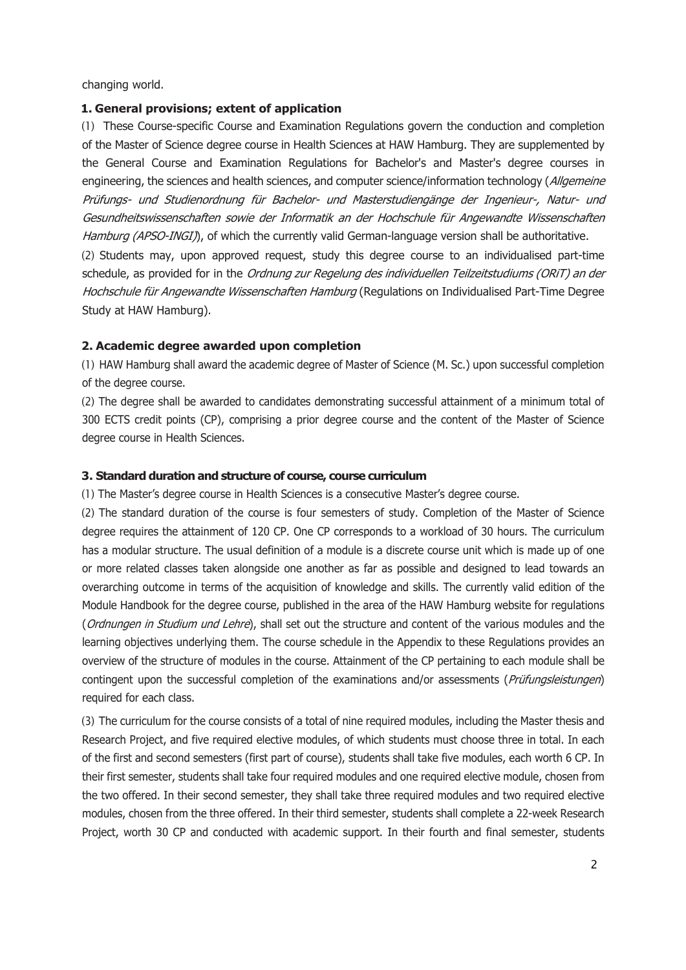changing world.

#### **1. General provisions; extent of application**

(1) These Course-specific Course and Examination Regulations govern the conduction and completion of the Master of Science degree course in Health Sciences at HAW Hamburg. They are supplemented by the General Course and Examination Regulations for Bachelor's and Master's degree courses in engineering, the sciences and health sciences, and computer science/information technology (Allgemeine Prüfungs- und Studienordnung für Bachelor- und Masterstudiengänge der Ingenieur-, Natur- und Gesundheitswissenschaften sowie der Informatik an der Hochschule für Angewandte Wissenschaften Hamburg (APSO-INGI), of which the currently valid German-language version shall be authoritative. (2) Students may, upon approved request, study this degree course to an individualised part-time schedule, as provided for in the Ordnung zur Regelung des individuellen Teilzeitstudiums (ORiT) an der Hochschule für Angewandte Wissenschaften Hamburg (Regulations on Individualised Part-Time Degree

Study at HAW Hamburg).

#### **2. Academic degree awarded upon completion**

(1) HAW Hamburg shall award the academic degree of Master of Science (M. Sc.) upon successful completion of the degree course.

(2) The degree shall be awarded to candidates demonstrating successful attainment of a minimum total of 300 ECTS credit points (CP), comprising a prior degree course and the content of the Master of Science degree course in Health Sciences.

#### **3. Standard duration and structure of course, course curriculum**

(1) The Master's degree course in Health Sciences is a consecutive Master's degree course.

(2) The standard duration of the course is four semesters of study. Completion of the Master of Science degree requires the attainment of 120 CP. One CP corresponds to a workload of 30 hours. The curriculum has a modular structure. The usual definition of a module is a discrete course unit which is made up of one or more related classes taken alongside one another as far as possible and designed to lead towards an overarching outcome in terms of the acquisition of knowledge and skills. The currently valid edition of the Module Handbook for the degree course, published in the area of the HAW Hamburg website for regulations (Ordnungen in Studium und Lehre), shall set out the structure and content of the various modules and the learning objectives underlying them. The course schedule in the Appendix to these Regulations provides an overview of the structure of modules in the course. Attainment of the CP pertaining to each module shall be contingent upon the successful completion of the examinations and/or assessments (*Prüfungsleistungen*) required for each class.

(3) The curriculum for the course consists of a total of nine required modules, including the Master thesis and Research Project, and five required elective modules, of which students must choose three in total. In each of the first and second semesters (first part of course), students shall take five modules, each worth 6 CP. In their first semester, students shall take four required modules and one required elective module, chosen from the two offered. In their second semester, they shall take three required modules and two required elective modules, chosen from the three offered. In their third semester, students shall complete a 22-week Research Project, worth 30 CP and conducted with academic support. In their fourth and final semester, students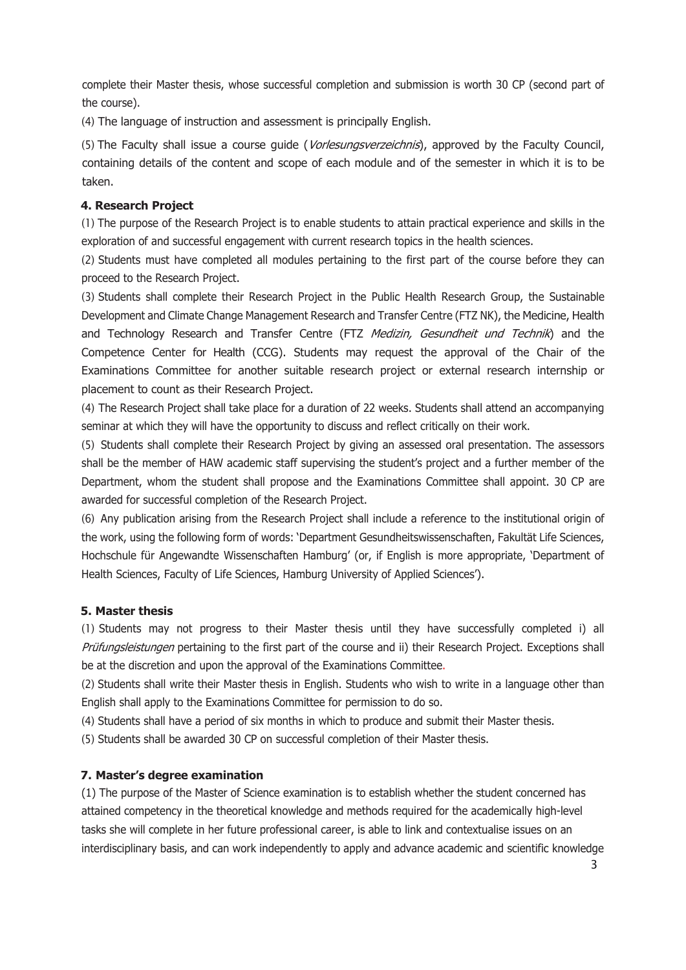complete their Master thesis, whose successful completion and submission is worth 30 CP (second part of the course).

(4) The language of instruction and assessment is principally English.

(5) The Faculty shall issue a course guide (Vorlesungsverzeichnis), approved by the Faculty Council, containing details of the content and scope of each module and of the semester in which it is to be taken.

## **4. Research Project**

(1) The purpose of the Research Project is to enable students to attain practical experience and skills in the exploration of and successful engagement with current research topics in the health sciences.

(2) Students must have completed all modules pertaining to the first part of the course before they can proceed to the Research Project.

(3) Students shall complete their Research Project in the Public Health Research Group, the Sustainable Development and Climate Change Management Research and Transfer Centre (FTZ NK), the Medicine, Health and Technology Research and Transfer Centre (FTZ Medizin, Gesundheit und Technik) and the Competence Center for Health (CCG). Students may request the approval of the Chair of the Examinations Committee for another suitable research project or external research internship or placement to count as their Research Project.

(4) The Research Project shall take place for a duration of 22 weeks. Students shall attend an accompanying seminar at which they will have the opportunity to discuss and reflect critically on their work.

(5) Students shall complete their Research Project by giving an assessed oral presentation. The assessors shall be the member of HAW academic staff supervising the student's project and a further member of the Department, whom the student shall propose and the Examinations Committee shall appoint. 30 CP are awarded for successful completion of the Research Project.

(6) Any publication arising from the Research Project shall include a reference to the institutional origin of the work, using the following form of words: 'Department Gesundheitswissenschaften, Fakultät Life Sciences, Hochschule für Angewandte Wissenschaften Hamburg' (or, if English is more appropriate, 'Department of Health Sciences, Faculty of Life Sciences, Hamburg University of Applied Sciences').

## **5. Master thesis**

(1) Students may not progress to their Master thesis until they have successfully completed i) all Prüfungsleistungen pertaining to the first part of the course and ii) their Research Project. Exceptions shall be at the discretion and upon the approval of the Examinations Committee.

(2) Students shall write their Master thesis in English. Students who wish to write in a language other than English shall apply to the Examinations Committee for permission to do so.

(4) Students shall have a period of six months in which to produce and submit their Master thesis.

(5) Students shall be awarded 30 CP on successful completion of their Master thesis.

## **7. Master's degree examination**

(1) The purpose of the Master of Science examination is to establish whether the student concerned has attained competency in the theoretical knowledge and methods required for the academically high-level tasks she will complete in her future professional career, is able to link and contextualise issues on an interdisciplinary basis, and can work independently to apply and advance academic and scientific knowledge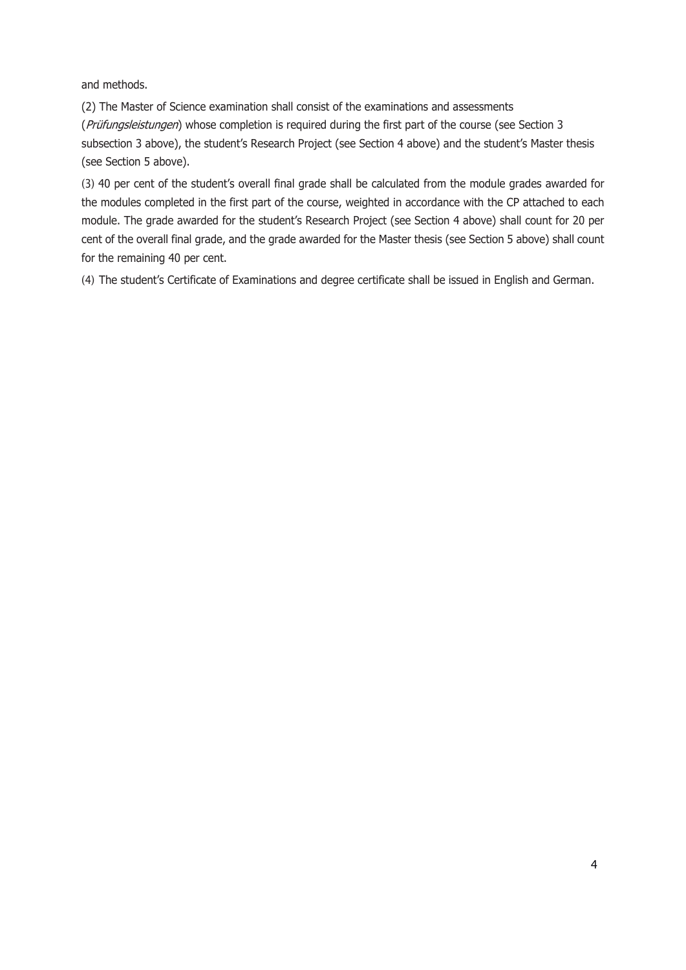and methods.

(2) The Master of Science examination shall consist of the examinations and assessments (*Prüfungsleistungen*) whose completion is required during the first part of the course (see Section 3 subsection 3 above), the student's Research Project (see Section 4 above) and the student's Master thesis (see Section 5 above).

(3) 40 per cent of the student's overall final grade shall be calculated from the module grades awarded for the modules completed in the first part of the course, weighted in accordance with the CP attached to each module. The grade awarded for the student's Research Project (see Section 4 above) shall count for 20 per cent of the overall final grade, and the grade awarded for the Master thesis (see Section 5 above) shall count for the remaining 40 per cent.

(4) The student's Certificate of Examinations and degree certificate shall be issued in English and German.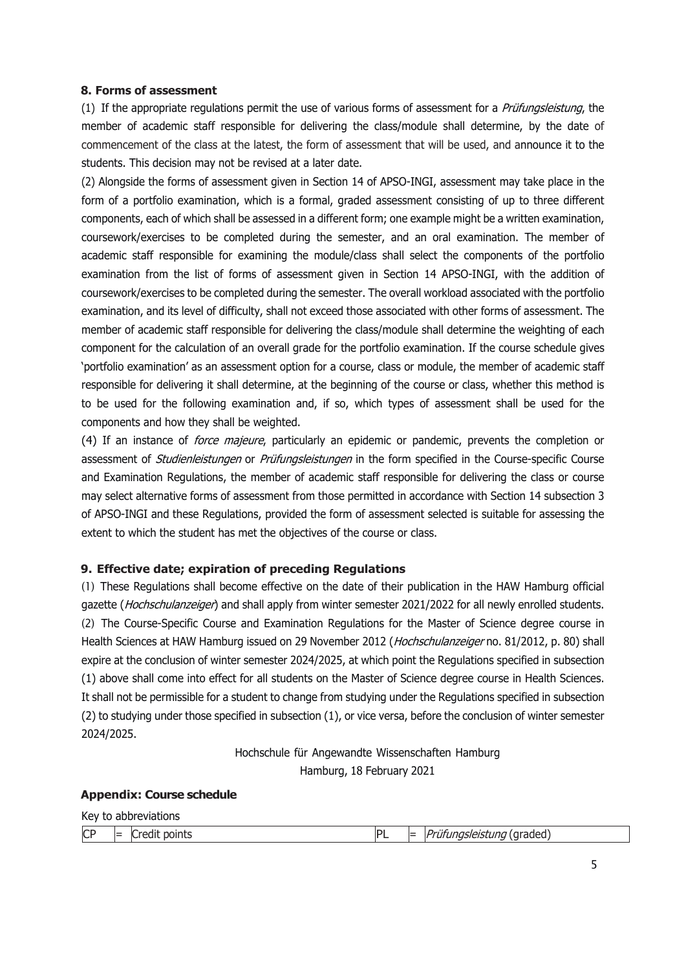#### **8. Forms of assessment**

(1) If the appropriate regulations permit the use of various forms of assessment for a Prüfungsleistung, the member of academic staff responsible for delivering the class/module shall determine, by the date of commencement of the class at the latest, the form of assessment that will be used, and announce it to the students. This decision may not be revised at a later date.

(2) Alongside the forms of assessment given in Section 14 of APSO-INGI, assessment may take place in the form of a portfolio examination, which is a formal, graded assessment consisting of up to three different components, each of which shall be assessed in a different form; one example might be a written examination, coursework/exercises to be completed during the semester, and an oral examination. The member of academic staff responsible for examining the module/class shall select the components of the portfolio examination from the list of forms of assessment given in Section 14 APSO-INGI, with the addition of coursework/exercises to be completed during the semester. The overall workload associated with the portfolio examination, and its level of difficulty, shall not exceed those associated with other forms of assessment. The member of academic staff responsible for delivering the class/module shall determine the weighting of each component for the calculation of an overall grade for the portfolio examination. If the course schedule gives 'portfolio examination' as an assessment option for a course, class or module, the member of academic staff responsible for delivering it shall determine, at the beginning of the course or class, whether this method is to be used for the following examination and, if so, which types of assessment shall be used for the components and how they shall be weighted.

(4) If an instance of *force majeure*, particularly an epidemic or pandemic, prevents the completion or assessment of *Studienleistungen* or *Prüfungsleistungen* in the form specified in the Course-specific Course and Examination Regulations, the member of academic staff responsible for delivering the class or course may select alternative forms of assessment from those permitted in accordance with Section 14 subsection 3 of APSO-INGI and these Regulations, provided the form of assessment selected is suitable for assessing the extent to which the student has met the objectives of the course or class.

## **9. Effective date; expiration of preceding Regulations**

(1) These Regulations shall become effective on the date of their publication in the HAW Hamburg official gazette (Hochschulanzeiger) and shall apply from winter semester 2021/2022 for all newly enrolled students. (2) The Course-Specific Course and Examination Regulations for the Master of Science degree course in Health Sciences at HAW Hamburg issued on 29 November 2012 (Hochschulanzeiger no. 81/2012, p. 80) shall expire at the conclusion of winter semester 2024/2025, at which point the Regulations specified in subsection (1) above shall come into effect for all students on the Master of Science degree course in Health Sciences. It shall not be permissible for a student to change from studying under the Regulations specified in subsection (2) to studying under those specified in subsection (1), or vice versa, before the conclusion of winter semester 2024/2025.

> Hochschule für Angewandte Wissenschaften Hamburg Hamburg, 18 February 2021

#### **Appendix: Course schedule**

| Key to abbreviations |  |                       |           |  |                                      |  |  |
|----------------------|--|-----------------------|-----------|--|--------------------------------------|--|--|
| <b>CP</b>            |  | $\vert$ Credit points | <b>PL</b> |  | =   <i>Prüfungsleistung</i> (graded) |  |  |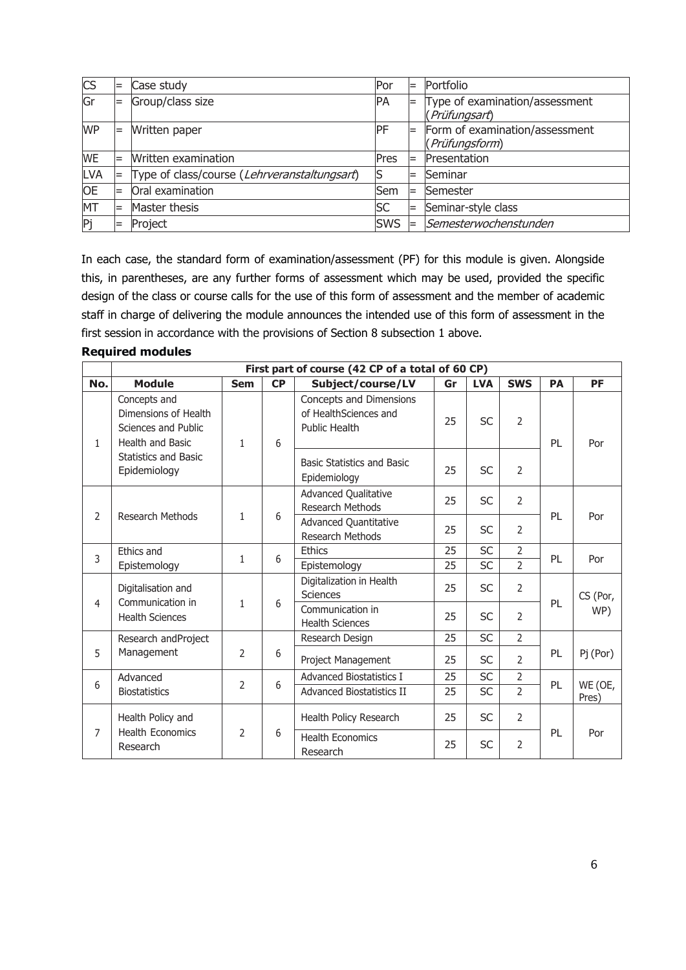| <b>CS</b> |     | Case study                                   | Por        | $=$ | Portfolio                                        |
|-----------|-----|----------------------------------------------|------------|-----|--------------------------------------------------|
| Gr        | $=$ | Group/class size                             | PA         |     | Type of examination/assessment<br>(Prüfungsart)  |
| <b>WP</b> | $=$ | Written paper                                | <b>PF</b>  | $=$ | Form of examination/assessment<br>(Prüfungsform) |
| <b>WE</b> |     | Written examination                          | Pres       | $=$ | Presentation                                     |
| LVA       |     | Type of class/course (Lehrveranstaltungsart) | lS         | $=$ | Seminar                                          |
| <b>OE</b> |     | Oral examination                             | Sem        | $=$ | Semester                                         |
| MT        |     | Master thesis                                | <b>SC</b>  |     | Seminar-style class                              |
| Pj        | $=$ | Project                                      | <b>SWS</b> | $=$ | Semesterwochenstunden                            |

In each case, the standard form of examination/assessment (PF) for this module is given. Alongside this, in parentheses, are any further forms of assessment which may be used, provided the specific design of the class or course calls for the use of this form of assessment and the member of academic staff in charge of delivering the module announces the intended use of this form of assessment in the first session in accordance with the provisions of Section 8 subsection 1 above.

|  | <b>Required modules</b> |
|--|-------------------------|
|  |                         |

|                | First part of course (42 CP of a total of 60 CP)                                |                          |    |                                                                   |           |                |                |           |           |  |
|----------------|---------------------------------------------------------------------------------|--------------------------|----|-------------------------------------------------------------------|-----------|----------------|----------------|-----------|-----------|--|
| No.            | <b>Module</b>                                                                   | <b>Sem</b>               | CP | Subject/course/LV                                                 | Gr        | <b>LVA</b>     | <b>SWS</b>     | <b>PA</b> | <b>PF</b> |  |
| 1.             | Concepts and<br>Dimensions of Health<br>Sciences and Public<br>Health and Basic | 1                        | 6  | Concepts and Dimensions<br>of HealthSciences and<br>Public Health | 25        | <b>SC</b>      | $\overline{2}$ | PL        | Por       |  |
|                | <b>Statistics and Basic</b><br>Epidemiology                                     |                          |    | Basic Statistics and Basic<br>Epidemiology                        | 25        | <b>SC</b>      | $\overline{2}$ |           |           |  |
| $\overline{2}$ |                                                                                 |                          |    | Advanced Qualitative<br><b>Research Methods</b>                   | 25        | <b>SC</b>      | $\overline{2}$ |           |           |  |
|                | Research Methods                                                                | 1                        | 6  | <b>Advanced Quantitative</b><br>Research Methods                  | 25        | <b>SC</b>      | 2              | PL        | Por       |  |
| 3              | Ethics and                                                                      | 1                        | 6  | Ethics<br>25                                                      | <b>SC</b> | $\overline{2}$ | PL             | Por       |           |  |
|                | Epistemology                                                                    |                          |    | Epistemology                                                      | 25        | <b>SC</b>      | $\overline{2}$ |           |           |  |
|                | Digitalisation and<br>Communication in<br><b>Health Sciences</b>                | 6<br>$1 \nightharpoonup$ |    | Digitalization in Health<br><b>Sciences</b>                       | 25        | <b>SC</b>      | $\overline{2}$ | PL        | CS (Por,  |  |
| 4              |                                                                                 |                          |    | Communication in<br><b>Health Sciences</b>                        | 25        | <b>SC</b>      | $\overline{2}$ |           | WP)       |  |
|                | Research andProject                                                             |                          |    | Research Design                                                   | 25        | <b>SC</b>      | $\overline{2}$ |           |           |  |
| 5              | Management                                                                      | 2                        | 6  | Project Management                                                | 25        | <b>SC</b>      | $\overline{2}$ | PL        | Pj (Por)  |  |
| 6              | Advanced                                                                        | $\overline{2}$           | 6  | <b>Advanced Biostatistics I</b>                                   | 25        | <b>SC</b>      | $\overline{2}$ | PL        | WE (OE,   |  |
|                | <b>Biostatistics</b>                                                            |                          |    | <b>Advanced Biostatistics II</b>                                  | 25        | <b>SC</b>      | $\overline{2}$ |           | Pres)     |  |
| 7              | Health Policy and<br><b>Health Economics</b>                                    |                          |    | Health Policy Research                                            | 25        | <b>SC</b>      | 2              |           |           |  |
|                | Research                                                                        | 2                        | 6  | <b>Health Economics</b><br>Research                               | 25        | <b>SC</b>      | $\overline{2}$ | PL        | Por       |  |